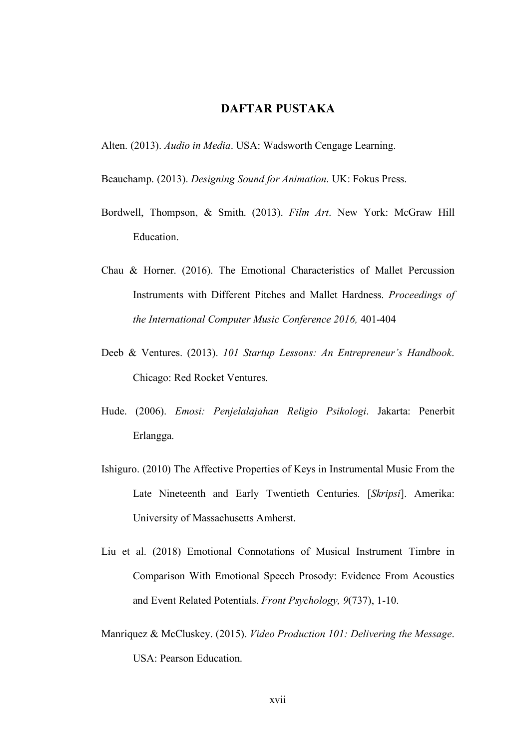## **DAFTAR PUSTAKA**

Alten. (2013). *Audio in Media*. USA: Wadsworth Cengage Learning.

Beauchamp. (2013). *Designing Sound for Animation*. UK: Fokus Press.

- Bordwell, Thompson, & Smith. (2013). *Film Art*. New York: McGraw Hill Education.
- Chau & Horner. (2016). The Emotional Characteristics of Mallet Percussion Instruments with Different Pitches and Mallet Hardness. *Proceedings of the International Computer Music Conference 2016,* 401-404
- Deeb & Ventures. (2013). *101 Startup Lessons: An Entrepreneur's Handbook*. Chicago: Red Rocket Ventures.
- Hude. (2006). *Emosi: Penjelalajahan Religio Psikologi*. Jakarta: Penerbit Erlangga.
- Ishiguro. (2010) The Affective Properties of Keys in Instrumental Music From the Late Nineteenth and Early Twentieth Centuries. [*Skripsi*]. Amerika: University of Massachusetts Amherst.
- Liu et al. (2018) Emotional Connotations of Musical Instrument Timbre in Comparison With Emotional Speech Prosody: Evidence From Acoustics and Event Related Potentials. *Front Psychology, 9*(737), 1-10.
- Manriquez & McCluskey. (2015). *Video Production 101: Delivering the Message*. USA: Pearson Education.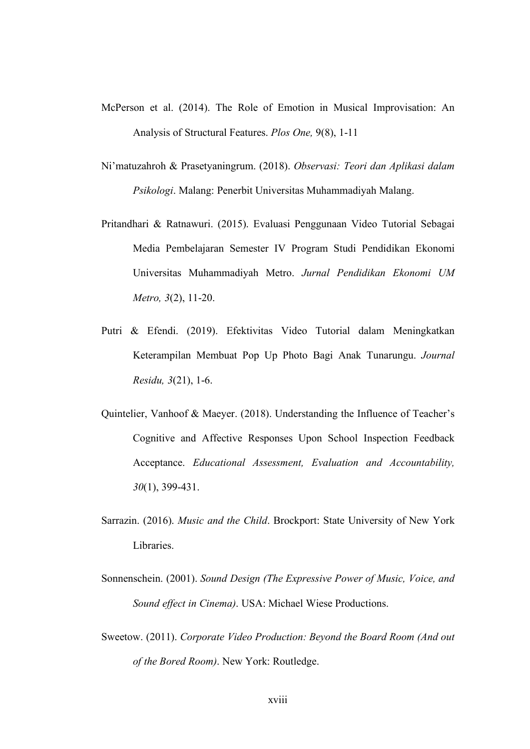- McPerson et al. (2014). The Role of Emotion in Musical Improvisation: An Analysis of Structural Features. *Plos One,* 9(8), 1-11
- Ni'matuzahroh & Prasetyaningrum. (2018). *Observasi: Teori dan Aplikasi dalam Psikologi*. Malang: Penerbit Universitas Muhammadiyah Malang.
- Pritandhari & Ratnawuri. (2015). Evaluasi Penggunaan Video Tutorial Sebagai Media Pembelajaran Semester IV Program Studi Pendidikan Ekonomi Universitas Muhammadiyah Metro. *Jurnal Pendidikan Ekonomi UM Metro, 3*(2), 11-20.
- Putri & Efendi. (2019). Efektivitas Video Tutorial dalam Meningkatkan Keterampilan Membuat Pop Up Photo Bagi Anak Tunarungu. *Journal Residu, 3*(21), 1-6.
- Quintelier, Vanhoof & Maeyer. (2018). Understanding the Influence of Teacher's Cognitive and Affective Responses Upon School Inspection Feedback Acceptance. *Educational Assessment, Evaluation and Accountability, 30*(1), 399-431.
- Sarrazin. (2016). *Music and the Child*. Brockport: State University of New York Libraries.
- Sonnenschein. (2001). *Sound Design (The Expressive Power of Music, Voice, and Sound effect in Cinema)*. USA: Michael Wiese Productions.
- Sweetow. (2011). *Corporate Video Production: Beyond the Board Room (And out of the Bored Room)*. New York: Routledge.